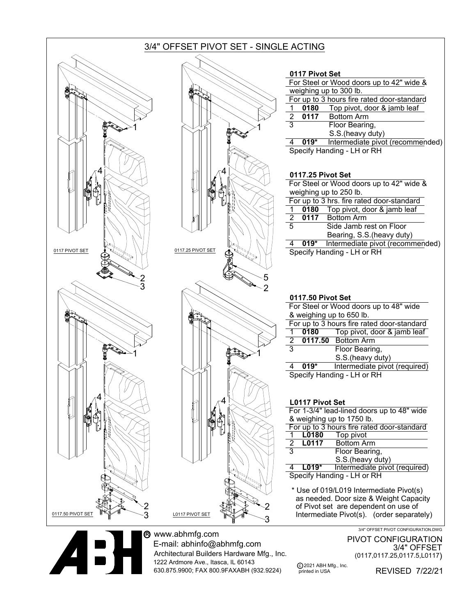

www.abhmfg.com E-mail: abhinfo@abhmfg.com Architectural Builders Hardware Mfg., Inc. 1222 Ardmore Ave., Itasca, IL 60143 630.875.9900; FAX 800.9FAXABH (932.9224)

PIVOT CONFIGURATION 3/4" OFFSET (0117,0117.25,0117.5,L0117)

c 2021 ABH Mfg., Inc. printed in USA

REVISED 7/22/21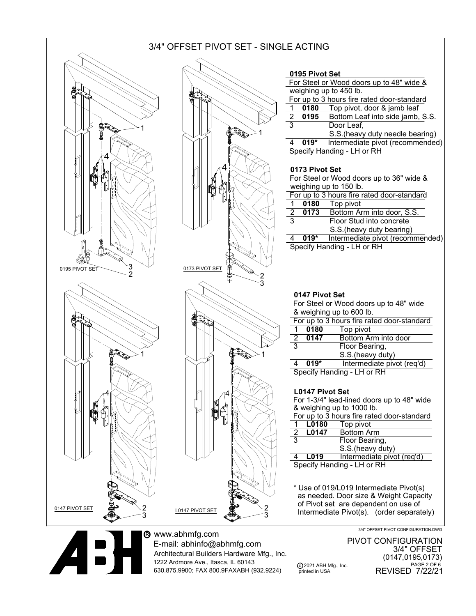## 3/4" OFFSET PIVOT SET - SINGLE ACTING



www.abhmfg.com O<sup>R</sup> E-mail: abhinfo@abhmfg.com Architectural Builders Hardware Mfg., Inc. 1222 Ardmore Ave., Itasca, IL 60143 630.875.9900; FAX 800.9FAXABH (932.9224)

c 2021 ABH Mfg., Inc. PIVOT CONFIGURATION 3/4" OFFSET (0147,0195,0173) REVISED 7/22/21 PAGE 2 OF 6

printed in USA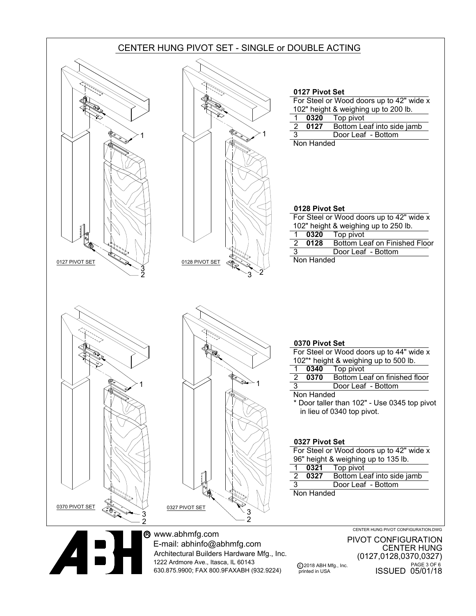

E-mail: abhinfo@abhmfg.com Architectural Builders Hardware Mfg., Inc. 1222 Ardmore Ave., Itasca, IL 60143 630.875.9900; FAX 800.9FAXABH (932.9224)

c 2018 ABH Mfg., Inc. PIVOT CONFIGURATION CENTER HUNG (0127,0128,0370,0327) ISSUED 05/01/18 PAGE 3 OF 6

printed in USA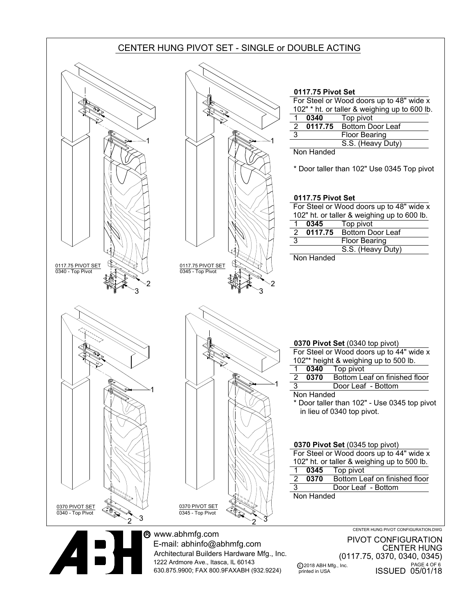



www.abhmfg.com O<sup>R</sup> E-mail: abhinfo@abhmfg.com Architectural Builders Hardware Mfg., Inc. 1222 Ardmore Ave., Itasca, IL 60143 630.875.9900; FAX 800.9FAXABH (932.9224)

c 2018 ABH Mfg., Inc. printed in USA PIVOT CONFIGURATION CENTER HUNG (0117.75, 0370, 0340, 0345) ISSUED 05/01/18 PAGE 4 OF 6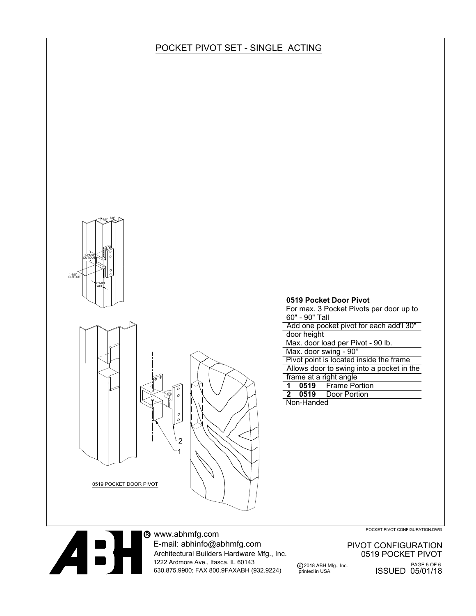## POCKET PIVOT SET - SINGLE ACTING





www.abhmfg.com O<sup>R</sup> E-mail: abhinfo@abhmfg.com Architectural Builders Hardware Mfg., Inc. 1222 Ardmore Ave., Itasca, IL 60143 630.875.9900; FAX 800.9FAXABH (932.9224)

POCKET PIVOT CONFIGURATION.DWG

c 2018 ABH Mfg., Inc. PIVOT CONFIGURATION 0519 POCKET PIVOT <sup>PAGE 5 OF 6</sup><br>ISSUED 05/01/18

printed in USA